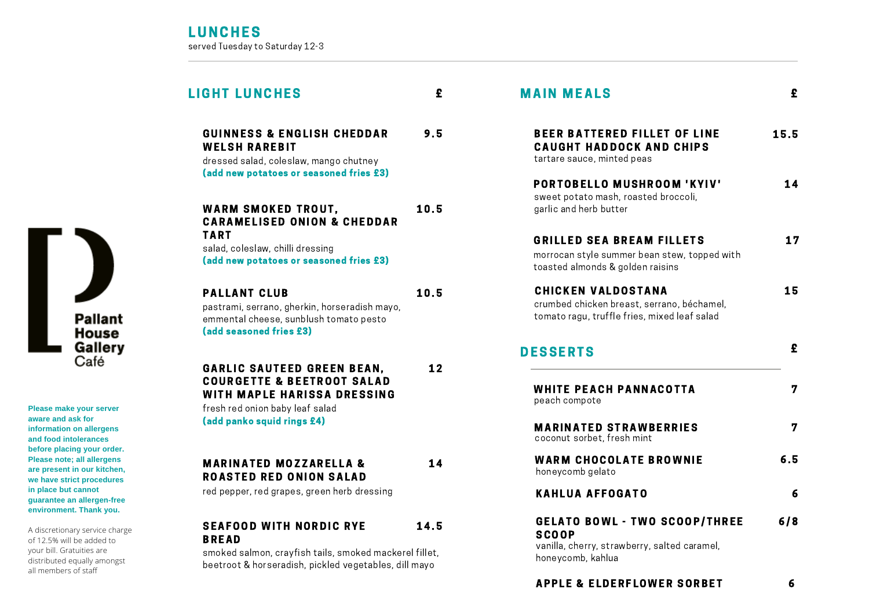#### L IGHT LUNCHES £ M AIN M EALS PORTOBELLO MUSHROOM 'KYIV' 14 sweet potato mash, roasted broccoli, garlic and herb butter GRILLED SEA BREAM FILLETS 17 morrocan style summer bean stew, topped with toasted almonds & golden raisins CHICKEN VALDOSTANA 15 crumbed chicken breast, serrano, béchamel, tomato ragu, truffle fries, mixed leaf salad BEER BATTERED FILLET OF LINE CAUGHT HADDOCK AND CHIPS tartare sauce, minted peas WARM SMOKED TROUT. **CARAMELISED ONION & CHEDDAR** TART 10.5 salad, coleslaw, chilli dressing (add new potatoes or seasoned fries £3) GARLIC SAUTEED GREEN BEAN. COURGETTE & BEETROOT SALAD WITH MAPLE HARISSA DRESSING 12 fresh red onion baby leaf salad (add panko squid rings £4) GUINNESS & ENGLISH CHEDDAR 9.5 **WELSH RAREBIT** dressed salad, coleslaw, mango chutney (add new potatoes or seasoned fries £3) PALLANT CLUB pastrami, serrano, gherkin, horseradish mayo, emmental cheese, sunblush tomato pesto (add seasoned fries £3) 10.5 **MARINATED MOZZARELLA &** ROASTED RED ONION SALAD 14 red pepper, red grapes, green herb dressing SEAFOOD WITH NORDIC RYE BREAD 14.5 DESSERTS WHITE PEACH PANNACOTTA 7 peach compote **MARINATED STRAWBERRIES** 7 coconut sorbet, fresh mint WARM CHOCOLATE BROWNIE 6.5 honeycomb gelato KAHLUA AFFOGATO 6 GELATO BOWL - TWO SCOOP/THREE 6/8 **SCOOP**

smoked salmon, crayfish tails, smoked mackerel fillet, beetroot & horseradish, pickled vegetables, dill mayo

vanilla, cherry, strawberry, salted caramel,

honeycomb, kahlua



**Please make your server aware and ask for information on allergens and food intolerances before placing your order. Please note; all allergens are present in our kitchen, we have strict procedures in place but cannot guarantee an allergen-free environment. Thank you.**

A discretionary service charge of 12.5% will be added to your bill. Gratuities are distributed equally amongst all members of staff

15.5

£

£